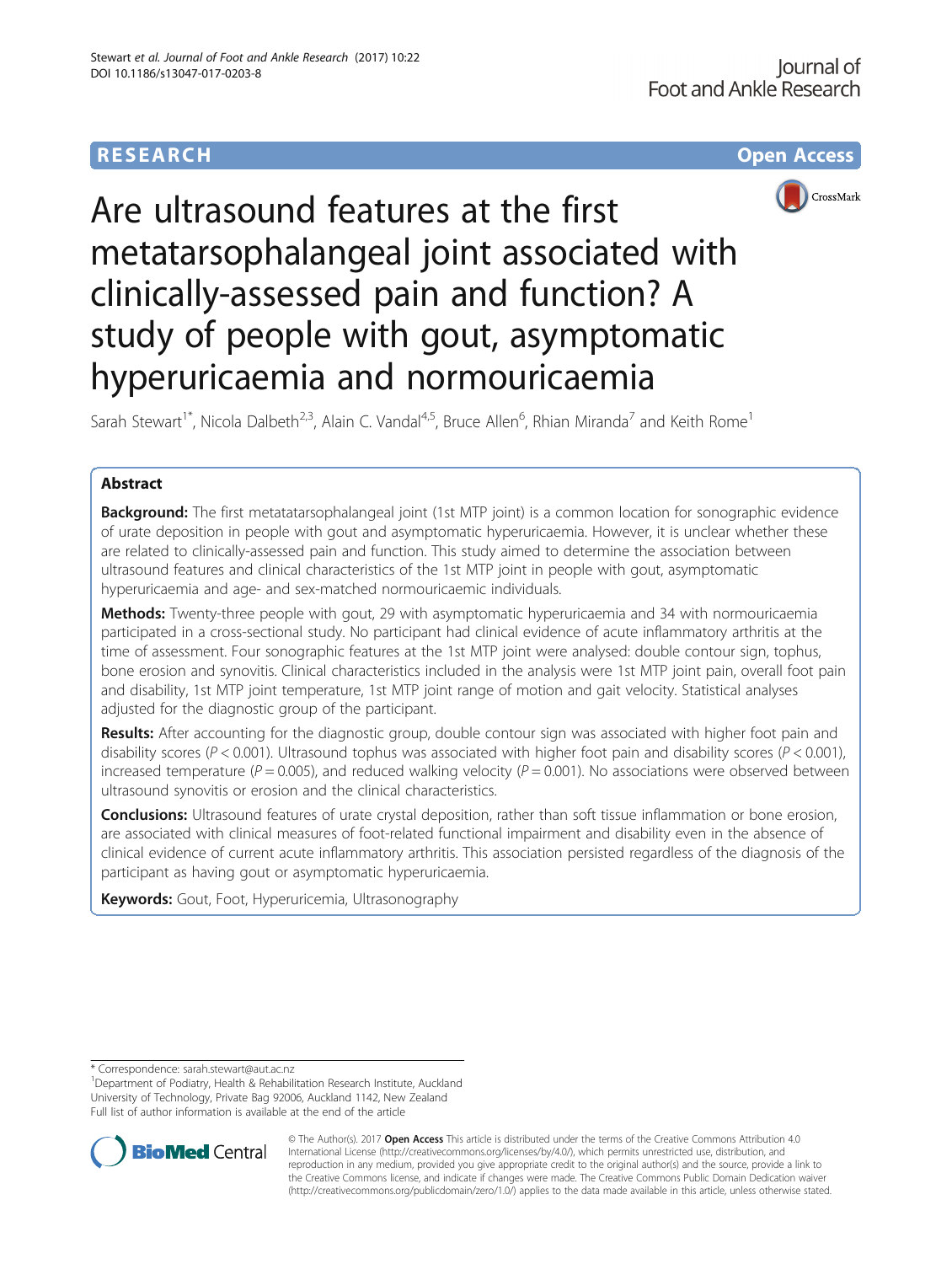## **RESEARCH CHE Open Access**



# Are ultrasound features at the first metatarsophalangeal joint associated with clinically-assessed pain and function? A study of people with gout, asymptomatic hyperuricaemia and normouricaemia

Sarah Stewart<sup>1\*</sup>, Nicola Dalbeth<sup>2,3</sup>, Alain C. Vandal<sup>4,5</sup>, Bruce Allen<sup>6</sup>, Rhian Miranda<sup>7</sup> and Keith Rome<sup>1</sup>

## Abstract

**Background:** The first metatatarsophalangeal joint (1st MTP joint) is a common location for sonographic evidence of urate deposition in people with gout and asymptomatic hyperuricaemia. However, it is unclear whether these are related to clinically-assessed pain and function. This study aimed to determine the association between ultrasound features and clinical characteristics of the 1st MTP joint in people with gout, asymptomatic hyperuricaemia and age- and sex-matched normouricaemic individuals.

**Methods:** Twenty-three people with gout, 29 with asymptomatic hyperuricaemia and 34 with normouricaemia participated in a cross-sectional study. No participant had clinical evidence of acute inflammatory arthritis at the time of assessment. Four sonographic features at the 1st MTP joint were analysed: double contour sign, tophus, bone erosion and synovitis. Clinical characteristics included in the analysis were 1st MTP joint pain, overall foot pain and disability, 1st MTP joint temperature, 1st MTP joint range of motion and gait velocity. Statistical analyses adjusted for the diagnostic group of the participant.

Results: After accounting for the diagnostic group, double contour sign was associated with higher foot pain and disability scores ( $P < 0.001$ ). Ultrasound tophus was associated with higher foot pain and disability scores ( $P < 0.001$ ), increased temperature ( $P = 0.005$ ), and reduced walking velocity ( $P = 0.001$ ). No associations were observed between ultrasound synovitis or erosion and the clinical characteristics.

**Conclusions:** Ultrasound features of urate crystal deposition, rather than soft tissue inflammation or bone erosion, are associated with clinical measures of foot-related functional impairment and disability even in the absence of clinical evidence of current acute inflammatory arthritis. This association persisted regardless of the diagnosis of the participant as having gout or asymptomatic hyperuricaemia.

**Keywords:** Gout, Foot, Hyperuricemia, Ultrasonography

<sup>&</sup>lt;sup>1</sup>Department of Podiatry, Health & Rehabilitation Research Institute, Auckland University of Technology, Private Bag 92006, Auckland 1142, New Zealand Full list of author information is available at the end of the article



© The Author(s). 2017 **Open Access** This article is distributed under the terms of the Creative Commons Attribution 4.0 International License [\(http://creativecommons.org/licenses/by/4.0/](http://creativecommons.org/licenses/by/4.0/)), which permits unrestricted use, distribution, and reproduction in any medium, provided you give appropriate credit to the original author(s) and the source, provide a link to the Creative Commons license, and indicate if changes were made. The Creative Commons Public Domain Dedication waiver [\(http://creativecommons.org/publicdomain/zero/1.0/](http://creativecommons.org/publicdomain/zero/1.0/)) applies to the data made available in this article, unless otherwise stated.

<sup>\*</sup> Correspondence: [sarah.stewart@aut.ac.nz](mailto:sarah.stewart@aut.ac.nz) <sup>1</sup>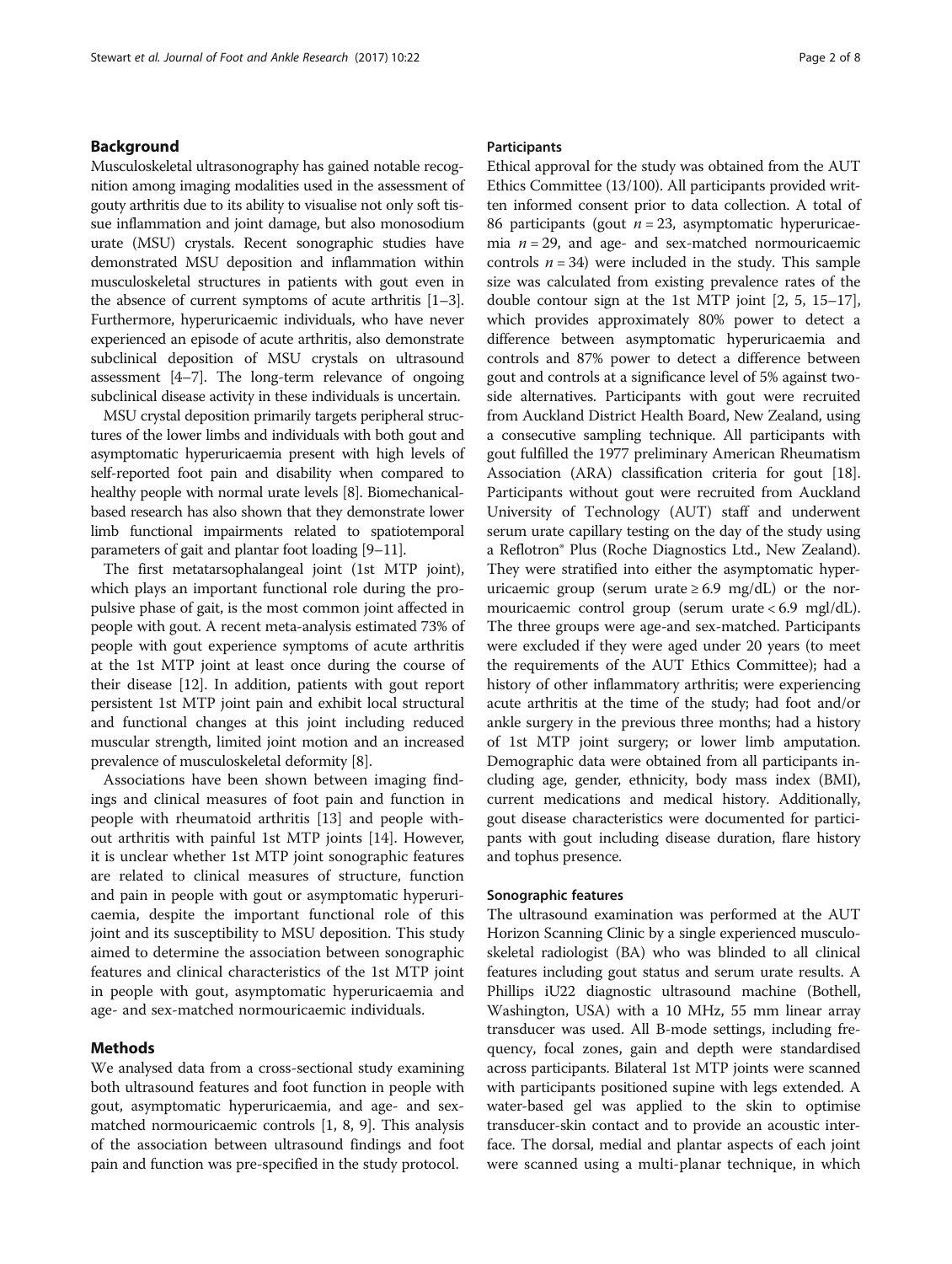## Background

Musculoskeletal ultrasonography has gained notable recognition among imaging modalities used in the assessment of gouty arthritis due to its ability to visualise not only soft tissue inflammation and joint damage, but also monosodium urate (MSU) crystals. Recent sonographic studies have demonstrated MSU deposition and inflammation within musculoskeletal structures in patients with gout even in the absence of current symptoms of acute arthritis [\[1](#page-6-0)–[3](#page-6-0)]. Furthermore, hyperuricaemic individuals, who have never experienced an episode of acute arthritis, also demonstrate subclinical deposition of MSU crystals on ultrasound assessment [\[4](#page-6-0)–[7\]](#page-6-0). The long-term relevance of ongoing subclinical disease activity in these individuals is uncertain.

MSU crystal deposition primarily targets peripheral structures of the lower limbs and individuals with both gout and asymptomatic hyperuricaemia present with high levels of self-reported foot pain and disability when compared to healthy people with normal urate levels [\[8](#page-6-0)]. Biomechanicalbased research has also shown that they demonstrate lower limb functional impairments related to spatiotemporal parameters of gait and plantar foot loading [\[9](#page-6-0)–[11](#page-6-0)].

The first metatarsophalangeal joint (1st MTP joint), which plays an important functional role during the propulsive phase of gait, is the most common joint affected in people with gout. A recent meta-analysis estimated 73% of people with gout experience symptoms of acute arthritis at the 1st MTP joint at least once during the course of their disease [\[12\]](#page-6-0). In addition, patients with gout report persistent 1st MTP joint pain and exhibit local structural and functional changes at this joint including reduced muscular strength, limited joint motion and an increased prevalence of musculoskeletal deformity [\[8\]](#page-6-0).

Associations have been shown between imaging findings and clinical measures of foot pain and function in people with rheumatoid arthritis [\[13](#page-6-0)] and people without arthritis with painful 1st MTP joints [[14](#page-6-0)]. However, it is unclear whether 1st MTP joint sonographic features are related to clinical measures of structure, function and pain in people with gout or asymptomatic hyperuricaemia, despite the important functional role of this joint and its susceptibility to MSU deposition. This study aimed to determine the association between sonographic features and clinical characteristics of the 1st MTP joint in people with gout, asymptomatic hyperuricaemia and age- and sex-matched normouricaemic individuals.

## Methods

We analysed data from a cross-sectional study examining both ultrasound features and foot function in people with gout, asymptomatic hyperuricaemia, and age- and sexmatched normouricaemic controls [[1, 8](#page-6-0), [9\]](#page-6-0). This analysis of the association between ultrasound findings and foot pain and function was pre-specified in the study protocol.

## Participants

Ethical approval for the study was obtained from the AUT Ethics Committee (13/100). All participants provided written informed consent prior to data collection. A total of 86 participants (gout  $n = 23$ , asymptomatic hyperuricaemia  $n = 29$ , and age- and sex-matched normouricaemic controls  $n = 34$ ) were included in the study. This sample size was calculated from existing prevalence rates of the double contour sign at the 1st MTP joint [\[2](#page-6-0), [5](#page-6-0), [15](#page-6-0)–[17](#page-6-0)], which provides approximately 80% power to detect a difference between asymptomatic hyperuricaemia and controls and 87% power to detect a difference between gout and controls at a significance level of 5% against twoside alternatives. Participants with gout were recruited from Auckland District Health Board, New Zealand, using a consecutive sampling technique. All participants with gout fulfilled the 1977 preliminary American Rheumatism Association (ARA) classification criteria for gout [[18](#page-6-0)]. Participants without gout were recruited from Auckland University of Technology (AUT) staff and underwent serum urate capillary testing on the day of the study using a Reflotron® Plus (Roche Diagnostics Ltd., New Zealand). They were stratified into either the asymptomatic hyperuricaemic group (serum urate  $\geq 6.9$  mg/dL) or the normouricaemic control group (serum urate < 6.9 mgl/dL). The three groups were age-and sex-matched. Participants were excluded if they were aged under 20 years (to meet the requirements of the AUT Ethics Committee); had a history of other inflammatory arthritis; were experiencing acute arthritis at the time of the study; had foot and/or ankle surgery in the previous three months; had a history of 1st MTP joint surgery; or lower limb amputation. Demographic data were obtained from all participants including age, gender, ethnicity, body mass index (BMI), current medications and medical history. Additionally, gout disease characteristics were documented for participants with gout including disease duration, flare history and tophus presence.

#### Sonographic features

The ultrasound examination was performed at the AUT Horizon Scanning Clinic by a single experienced musculoskeletal radiologist (BA) who was blinded to all clinical features including gout status and serum urate results. A Phillips iU22 diagnostic ultrasound machine (Bothell, Washington, USA) with a 10 MHz, 55 mm linear array transducer was used. All B-mode settings, including frequency, focal zones, gain and depth were standardised across participants. Bilateral 1st MTP joints were scanned with participants positioned supine with legs extended. A water-based gel was applied to the skin to optimise transducer-skin contact and to provide an acoustic interface. The dorsal, medial and plantar aspects of each joint were scanned using a multi-planar technique, in which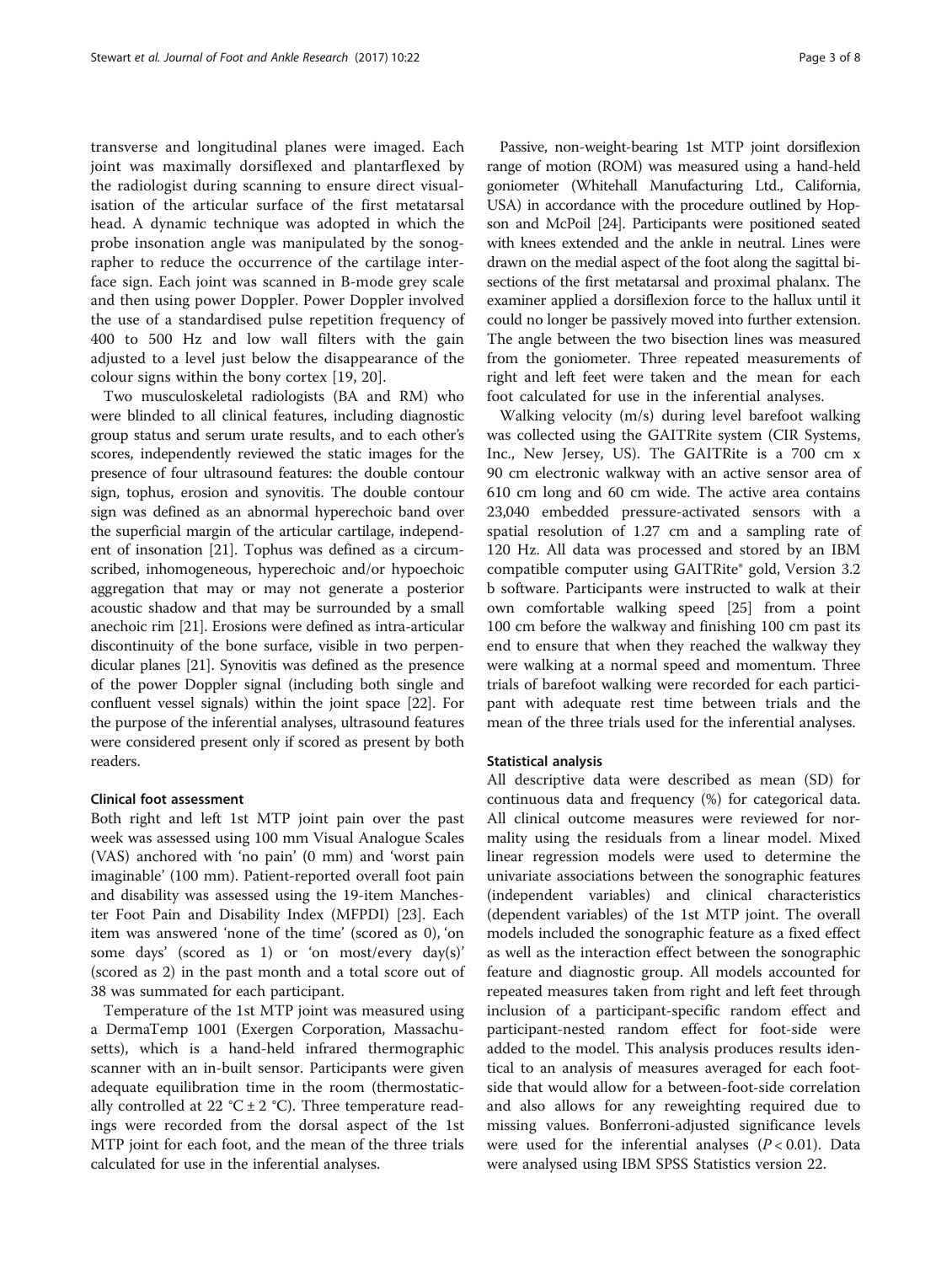transverse and longitudinal planes were imaged. Each joint was maximally dorsiflexed and plantarflexed by the radiologist during scanning to ensure direct visualisation of the articular surface of the first metatarsal head. A dynamic technique was adopted in which the probe insonation angle was manipulated by the sonographer to reduce the occurrence of the cartilage interface sign. Each joint was scanned in B-mode grey scale and then using power Doppler. Power Doppler involved the use of a standardised pulse repetition frequency of 400 to 500 Hz and low wall filters with the gain adjusted to a level just below the disappearance of the colour signs within the bony cortex [[19](#page-6-0), [20](#page-6-0)].

Two musculoskeletal radiologists (BA and RM) who were blinded to all clinical features, including diagnostic group status and serum urate results, and to each other's scores, independently reviewed the static images for the presence of four ultrasound features: the double contour sign, tophus, erosion and synovitis. The double contour sign was defined as an abnormal hyperechoic band over the superficial margin of the articular cartilage, independent of insonation [[21](#page-6-0)]. Tophus was defined as a circumscribed, inhomogeneous, hyperechoic and/or hypoechoic aggregation that may or may not generate a posterior acoustic shadow and that may be surrounded by a small anechoic rim [\[21\]](#page-6-0). Erosions were defined as intra-articular discontinuity of the bone surface, visible in two perpendicular planes [\[21](#page-6-0)]. Synovitis was defined as the presence of the power Doppler signal (including both single and confluent vessel signals) within the joint space [[22](#page-6-0)]. For the purpose of the inferential analyses, ultrasound features were considered present only if scored as present by both readers.

#### Clinical foot assessment

Both right and left 1st MTP joint pain over the past week was assessed using 100 mm Visual Analogue Scales (VAS) anchored with 'no pain' (0 mm) and 'worst pain imaginable' (100 mm). Patient-reported overall foot pain and disability was assessed using the 19-item Manchester Foot Pain and Disability Index (MFPDI) [\[23](#page-6-0)]. Each item was answered 'none of the time' (scored as 0), 'on some days' (scored as 1) or 'on most/every day(s)' (scored as 2) in the past month and a total score out of 38 was summated for each participant.

Temperature of the 1st MTP joint was measured using a DermaTemp 1001 (Exergen Corporation, Massachusetts), which is a hand-held infrared thermographic scanner with an in-built sensor. Participants were given adequate equilibration time in the room (thermostatically controlled at 22 °C  $\pm$  2 °C). Three temperature readings were recorded from the dorsal aspect of the 1st MTP joint for each foot, and the mean of the three trials calculated for use in the inferential analyses.

Passive, non-weight-bearing 1st MTP joint dorsiflexion range of motion (ROM) was measured using a hand-held goniometer (Whitehall Manufacturing Ltd., California, USA) in accordance with the procedure outlined by Hopson and McPoil [\[24](#page-6-0)]. Participants were positioned seated with knees extended and the ankle in neutral. Lines were drawn on the medial aspect of the foot along the sagittal bisections of the first metatarsal and proximal phalanx. The examiner applied a dorsiflexion force to the hallux until it could no longer be passively moved into further extension. The angle between the two bisection lines was measured from the goniometer. Three repeated measurements of right and left feet were taken and the mean for each foot calculated for use in the inferential analyses.

Walking velocity (m/s) during level barefoot walking was collected using the GAITRite system (CIR Systems, Inc., New Jersey, US). The GAITRite is a 700 cm x 90 cm electronic walkway with an active sensor area of 610 cm long and 60 cm wide. The active area contains 23,040 embedded pressure-activated sensors with a spatial resolution of 1.27 cm and a sampling rate of 120 Hz. All data was processed and stored by an IBM compatible computer using GAITRite® gold, Version 3.2 b software. Participants were instructed to walk at their own comfortable walking speed [[25\]](#page-6-0) from a point 100 cm before the walkway and finishing 100 cm past its end to ensure that when they reached the walkway they were walking at a normal speed and momentum. Three trials of barefoot walking were recorded for each participant with adequate rest time between trials and the mean of the three trials used for the inferential analyses.

#### Statistical analysis

All descriptive data were described as mean (SD) for continuous data and frequency (%) for categorical data. All clinical outcome measures were reviewed for normality using the residuals from a linear model. Mixed linear regression models were used to determine the univariate associations between the sonographic features (independent variables) and clinical characteristics (dependent variables) of the 1st MTP joint. The overall models included the sonographic feature as a fixed effect as well as the interaction effect between the sonographic feature and diagnostic group. All models accounted for repeated measures taken from right and left feet through inclusion of a participant-specific random effect and participant-nested random effect for foot-side were added to the model. This analysis produces results identical to an analysis of measures averaged for each footside that would allow for a between-foot-side correlation and also allows for any reweighting required due to missing values. Bonferroni-adjusted significance levels were used for the inferential analyses  $(P < 0.01)$ . Data were analysed using IBM SPSS Statistics version 22.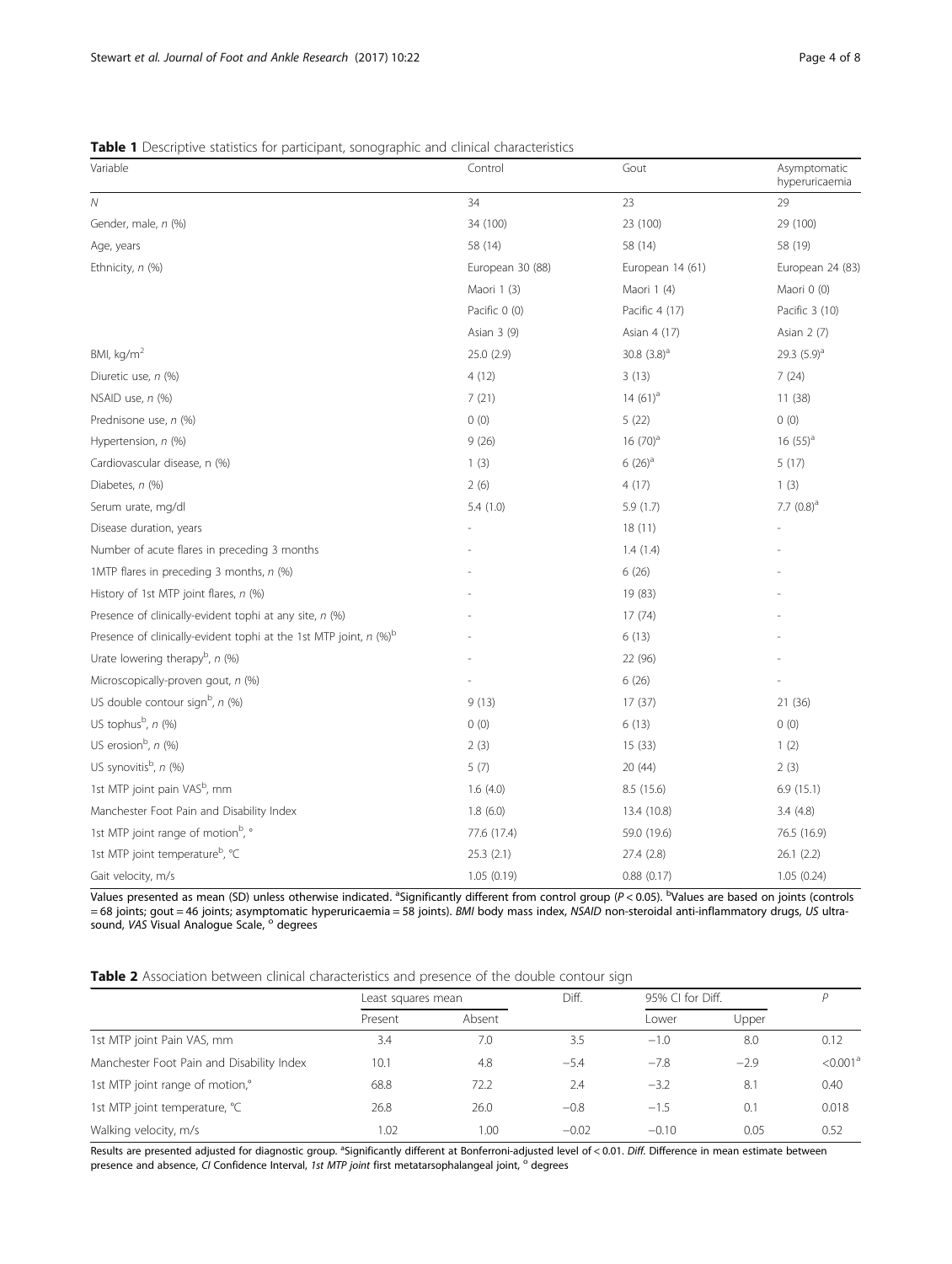## <span id="page-3-0"></span>Table 1 Descriptive statistics for participant, sonographic and clinical characteristics

| Variable                                                                      | Control          | Gout             | Asymptomatic<br>hyperuricaemia |
|-------------------------------------------------------------------------------|------------------|------------------|--------------------------------|
| $\overline{N}$                                                                | 34               | 23               | 29                             |
| Gender, male, n (%)                                                           | 34 (100)         | 23 (100)         | 29 (100)                       |
| Age, years                                                                    | 58 (14)          | 58 (14)          | 58 (19)                        |
| Ethnicity, n (%)                                                              | European 30 (88) | European 14 (61) | European 24 (83)               |
|                                                                               | Maori 1 (3)      | Maori 1 (4)      | Maori 0 (0)                    |
|                                                                               | Pacific 0 (0)    | Pacific 4 (17)   | Pacific 3 (10)                 |
|                                                                               | Asian 3 (9)      | Asian 4 (17)     | Asian 2 (7)                    |
| BMI, kg/m <sup>2</sup>                                                        | 25.0 (2.9)       | 30.8 $(3.8)^a$   | 29.3 $(5.9)^a$                 |
| Diuretic use, n (%)                                                           | 4(12)            | 3(13)            | 7(24)                          |
| NSAID use, n (%)                                                              | 7(21)            | 14 $(61)^a$      | 11(38)                         |
| Prednisone use, n (%)                                                         | 0(0)             | 5(22)            | 0(0)                           |
| Hypertension, n (%)                                                           | 9(26)            | $16(70)^a$       | $16(55)^a$                     |
| Cardiovascular disease, n (%)                                                 | 1(3)             | $6(26)^a$        | 5(17)                          |
| Diabetes, n (%)                                                               | 2(6)             | 4(17)            | 1(3)                           |
| Serum urate, mg/dl                                                            | 5.4(1.0)         | 5.9(1.7)         | 7.7 $(0.8)^a$                  |
| Disease duration, years                                                       |                  | 18(11)           |                                |
| Number of acute flares in preceding 3 months                                  |                  | 1.4(1.4)         |                                |
| 1MTP flares in preceding 3 months, n (%)                                      |                  | 6(26)            |                                |
| History of 1st MTP joint flares, n (%)                                        |                  | 19 (83)          |                                |
| Presence of clinically-evident tophi at any site, n (%)                       |                  | 17(74)           |                                |
| Presence of clinically-evident tophi at the 1st MTP joint, n (%) <sup>b</sup> |                  | 6(13)            |                                |
| Urate lowering therapy <sup>b</sup> , $n$ (%)                                 |                  | 22 (96)          |                                |
| Microscopically-proven gout, n (%)                                            |                  | 6(26)            |                                |
| US double contour sign <sup>b</sup> , n (%)                                   | 9(13)            | 17 (37)          | 21 (36)                        |
| US tophus <sup>b</sup> , n (%)                                                | 0(0)             | 6(13)            | 0(0)                           |
| US erosion <sup>b</sup> , $n$ (%)                                             | 2(3)             | 15 (33)          | 1(2)                           |
| US synovitis <sup>b</sup> , n (%)                                             | 5(7)             | 20 (44)          | 2(3)                           |
| 1st MTP joint pain VAS <sup>b</sup> , mm                                      | 1.6(4.0)         | 8.5 (15.6)       | 6.9(15.1)                      |
| Manchester Foot Pain and Disability Index                                     | 1.8(6.0)         | 13.4 (10.8)      | 3.4(4.8)                       |
| 1st MTP joint range of motion <sup>b</sup> , °                                | 77.6 (17.4)      | 59.0 (19.6)      | 76.5 (16.9)                    |
| 1st MTP joint temperature <sup>b</sup> , °C                                   | 25.3(2.1)        | 27.4 (2.8)       | 26.1(2.2)                      |
| Gait velocity, m/s                                                            | 1.05(0.19)       | 0.88(0.17)       | 1.05(0.24)                     |

Values presented as mean (SD) unless otherwise indicated. <sup>a</sup>Significantly different from control group (P<0.05). <sup>b</sup>Values are based on joints (controls = 68 joints; gout = 46 joints; asymptomatic hyperuricaemia = 58 joints). BMI body mass index, NSAID non-steroidal anti-inflammatory drugs, US ultrasound, VAS Visual Analogue Scale, <sup>o</sup> degrees

| <b>Table 2</b> Association between clinical characteristics and presence of the double contour sign |  |
|-----------------------------------------------------------------------------------------------------|--|
|-----------------------------------------------------------------------------------------------------|--|

|                                           | Least squares mean |        | Diff.   | 95% CI for Diff. |        |                      |
|-------------------------------------------|--------------------|--------|---------|------------------|--------|----------------------|
|                                           | Present            | Absent |         | Lower            | Upper  |                      |
| 1st MTP joint Pain VAS, mm                | 3.4                | 7.0    | 3.5     | $-1.0$           | 8.0    | 0.12                 |
| Manchester Foot Pain and Disability Index | 10.1               | 4.8    | $-5.4$  | $-7.8$           | $-2.9$ | < 0.001 <sup>a</sup> |
| 1st MTP joint range of motion,°           | 68.8               | 72.2   | 2.4     | $-3.2$           | 8.1    | 0.40                 |
| 1st MTP joint temperature, °C             | 26.8               | 26.0   | $-0.8$  | $-1.5$           | 0.1    | 0.018                |
| Walking velocity, m/s                     | 1.02               | 1.00   | $-0.02$ | $-0.10$          | 0.05   | 0.52                 |

Results are presented adjusted for diagnostic group. <sup>a</sup>Significantly different at Bonferroni-adjusted level of < 0.01. Diff. Difference in mean estimate between presence and absence, CI Confidence Interval, 1st MTP joint first metatarsophalangeal joint, <sup>o</sup> degrees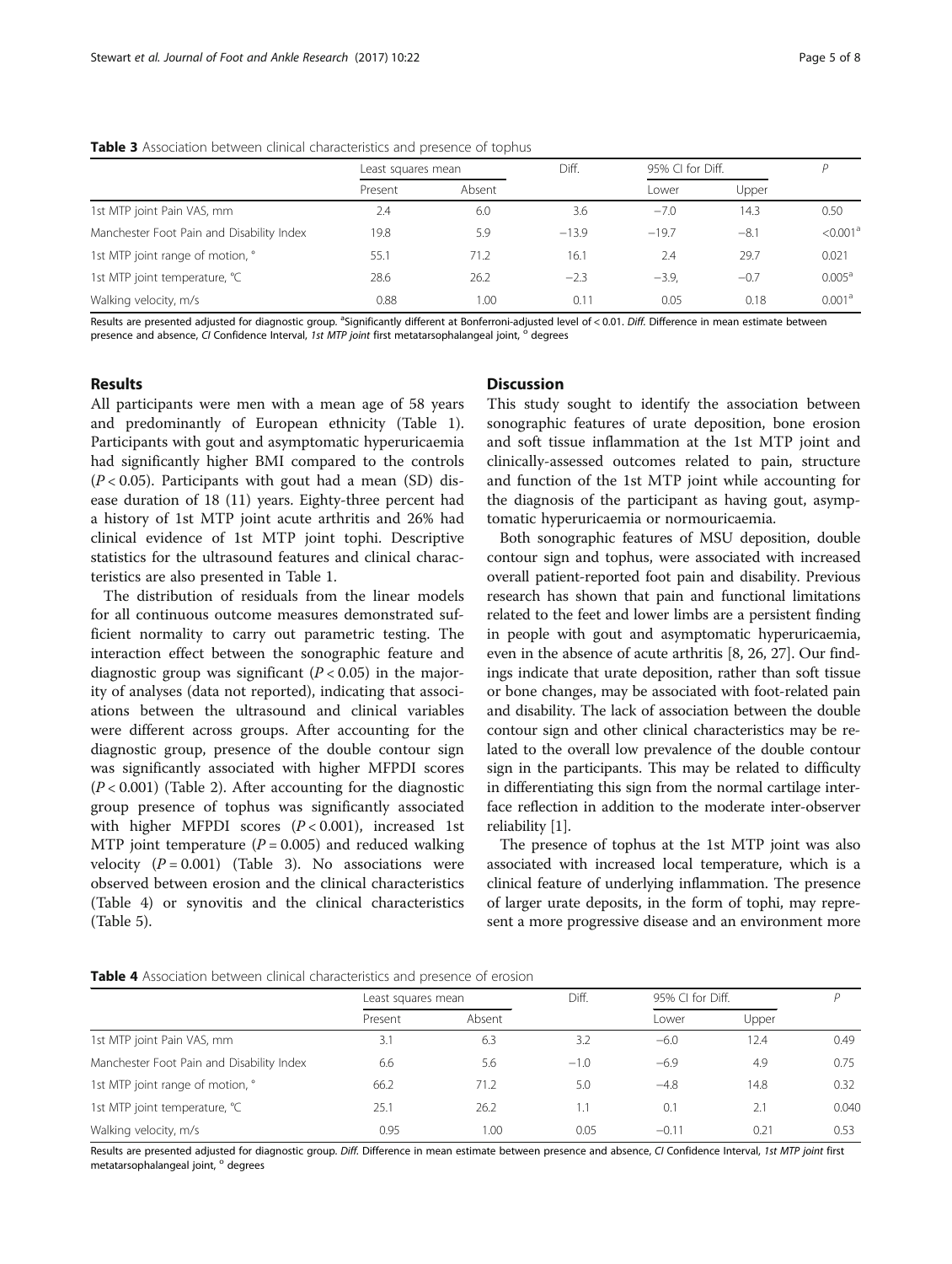#### Table 3 Association between clinical characteristics and presence of tophus

|                                           | Least squares mean |        | Diff.   | 95% CI for Diff. |        |                      |
|-------------------------------------------|--------------------|--------|---------|------------------|--------|----------------------|
|                                           | Present            | Absent |         | Lower            | Upper  |                      |
| 1st MTP joint Pain VAS, mm                | 2.4                | 6.0    | 3.6     | $-7.0$           | 14.3   | 0.50                 |
| Manchester Foot Pain and Disability Index | 19.8               | 5.9    | $-13.9$ | $-19.7$          | $-8.1$ | < 0.001 <sup>a</sup> |
| 1st MTP joint range of motion, °          | 55.1               | 71.2   | 16.1    | 2.4              | 29.7   | 0.021                |
| 1st MTP joint temperature, °C             | 28.6               | 26.2   | $-2.3$  | $-3.9.$          | $-0.7$ | $0.005^a$            |
| Walking velocity, m/s                     | 0.88               | 1.00   | 0.11    | 0.05             | 0.18   | 0.001 <sup>a</sup>   |

Results are presented adjusted for diagnostic group. <sup>a</sup>Significantly different at Bonferroni-adjusted level of < 0.01. Diff. Difference in mean estimate between presence and absence, CI Confidence Interval, 1st MTP joint first metatarsophalangeal joint, <sup>o</sup> degrees

## Results

All participants were men with a mean age of 58 years and predominantly of European ethnicity (Table [1](#page-3-0)). Participants with gout and asymptomatic hyperuricaemia had significantly higher BMI compared to the controls  $(P < 0.05)$ . Participants with gout had a mean (SD) disease duration of 18 (11) years. Eighty-three percent had a history of 1st MTP joint acute arthritis and 26% had clinical evidence of 1st MTP joint tophi. Descriptive statistics for the ultrasound features and clinical characteristics are also presented in Table [1.](#page-3-0)

The distribution of residuals from the linear models for all continuous outcome measures demonstrated sufficient normality to carry out parametric testing. The interaction effect between the sonographic feature and diagnostic group was significant  $(P < 0.05)$  in the majority of analyses (data not reported), indicating that associations between the ultrasound and clinical variables were different across groups. After accounting for the diagnostic group, presence of the double contour sign was significantly associated with higher MFPDI scores  $(P < 0.001)$  (Table [2\)](#page-3-0). After accounting for the diagnostic group presence of tophus was significantly associated with higher MFPDI scores  $(P < 0.001)$ , increased 1st MTP joint temperature ( $P = 0.005$ ) and reduced walking velocity  $(P = 0.001)$  (Table 3). No associations were observed between erosion and the clinical characteristics (Table 4) or synovitis and the clinical characteristics (Table [5\)](#page-5-0).

## **Discussion**

This study sought to identify the association between sonographic features of urate deposition, bone erosion and soft tissue inflammation at the 1st MTP joint and clinically-assessed outcomes related to pain, structure and function of the 1st MTP joint while accounting for the diagnosis of the participant as having gout, asymptomatic hyperuricaemia or normouricaemia.

Both sonographic features of MSU deposition, double contour sign and tophus, were associated with increased overall patient-reported foot pain and disability. Previous research has shown that pain and functional limitations related to the feet and lower limbs are a persistent finding in people with gout and asymptomatic hyperuricaemia, even in the absence of acute arthritis [\[8](#page-6-0), [26, 27](#page-6-0)]. Our findings indicate that urate deposition, rather than soft tissue or bone changes, may be associated with foot-related pain and disability. The lack of association between the double contour sign and other clinical characteristics may be related to the overall low prevalence of the double contour sign in the participants. This may be related to difficulty in differentiating this sign from the normal cartilage interface reflection in addition to the moderate inter-observer reliability [\[1](#page-6-0)].

The presence of tophus at the 1st MTP joint was also associated with increased local temperature, which is a clinical feature of underlying inflammation. The presence of larger urate deposits, in the form of tophi, may represent a more progressive disease and an environment more

| <b>Table 4</b> Association between clinical characteristics and presence of erosion |  |  |
|-------------------------------------------------------------------------------------|--|--|
|-------------------------------------------------------------------------------------|--|--|

| Least squares mean |        | Diff.  | 95% CI for Diff. |       |       |  |
|--------------------|--------|--------|------------------|-------|-------|--|
| Present            | Absent |        | l ower           | Upper |       |  |
| 3.1                | 6.3    | 3.2    | $-6.0$           | 12.4  | 0.49  |  |
| 6.6                | 5.6    | $-1.0$ | $-6.9$           | 4.9   | 0.75  |  |
| 66.2               | 71.2   | 5.0    | $-4.8$           | 14.8  | 0.32  |  |
| 25.1               | 26.2   |        | 0.1              | 2.1   | 0.040 |  |
| 0.95               | 1.00   | 0.05   | $-0.11$          | 0.21  | 0.53  |  |
|                    |        |        |                  |       |       |  |

Results are presented adjusted for diagnostic group. Diff. Difference in mean estimate between presence and absence, CI Confidence Interval, 1st MTP joint first metatarsophalangeal joint, ° degrees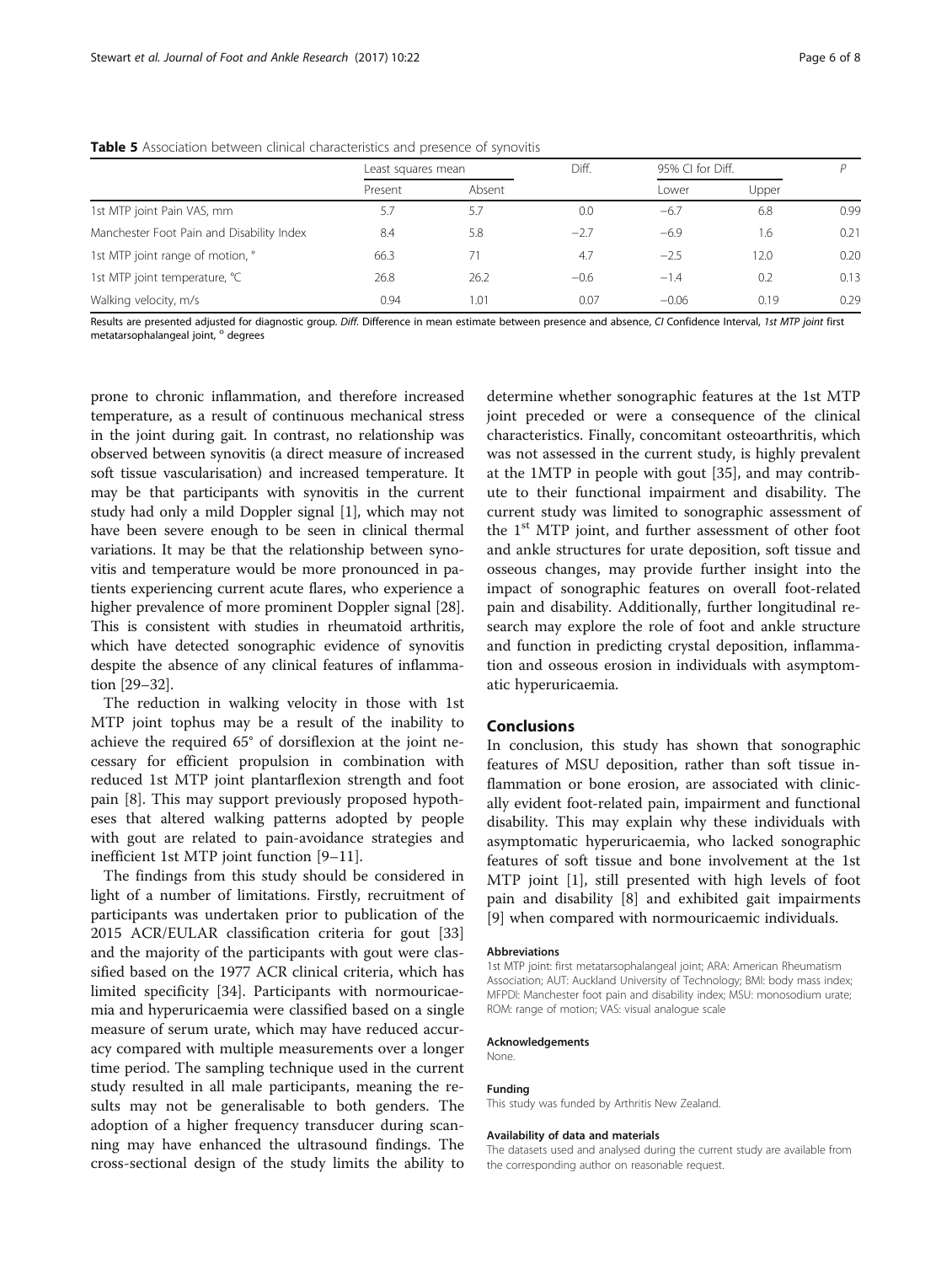|                                           | Least squares mean |        | Diff.  | 95% CI for Diff. |       |      |
|-------------------------------------------|--------------------|--------|--------|------------------|-------|------|
|                                           | Present            | Absent |        | Lower            | Upper |      |
| 1st MTP joint Pain VAS, mm                | 5.7                | 5.7    | 0.0    | $-6.7$           | 6.8   | 0.99 |
| Manchester Foot Pain and Disability Index | 8.4                | 5.8    | $-2.7$ | $-6.9$           | 1.6   | 0.21 |
| 1st MTP joint range of motion, °          | 66.3               | 71     | 4.7    | $-2.5$           | 12.0  | 0.20 |
| 1st MTP joint temperature, °C             | 26.8               | 26.2   | $-0.6$ | $-1.4$           | 0.2   | 0.13 |
| Walking velocity, m/s                     | 0.94               | 1.01   | 0.07   | $-0.06$          | 0.19  | 0.29 |

#### <span id="page-5-0"></span>Table 5 Association between clinical characteristics and presence of synovitis

Results are presented adjusted for diagnostic group. Diff. Difference in mean estimate between presence and absence, CI Confidence Interval, 1st MTP joint first metatarsophalangeal joint, <sup>o</sup> degrees

prone to chronic inflammation, and therefore increased temperature, as a result of continuous mechanical stress in the joint during gait. In contrast, no relationship was observed between synovitis (a direct measure of increased soft tissue vascularisation) and increased temperature. It may be that participants with synovitis in the current study had only a mild Doppler signal [[1\]](#page-6-0), which may not have been severe enough to be seen in clinical thermal variations. It may be that the relationship between synovitis and temperature would be more pronounced in patients experiencing current acute flares, who experience a higher prevalence of more prominent Doppler signal [[28](#page-6-0)]. This is consistent with studies in rheumatoid arthritis, which have detected sonographic evidence of synovitis despite the absence of any clinical features of inflammation [\[29](#page-6-0)–[32](#page-7-0)].

The reduction in walking velocity in those with 1st MTP joint tophus may be a result of the inability to achieve the required 65° of dorsiflexion at the joint necessary for efficient propulsion in combination with reduced 1st MTP joint plantarflexion strength and foot pain [[8\]](#page-6-0). This may support previously proposed hypotheses that altered walking patterns adopted by people with gout are related to pain-avoidance strategies and inefficient 1st MTP joint function [\[9](#page-6-0)–[11\]](#page-6-0).

The findings from this study should be considered in light of a number of limitations. Firstly, recruitment of participants was undertaken prior to publication of the 2015 ACR/EULAR classification criteria for gout [[33](#page-7-0)] and the majority of the participants with gout were classified based on the 1977 ACR clinical criteria, which has limited specificity [[34](#page-7-0)]. Participants with normouricaemia and hyperuricaemia were classified based on a single measure of serum urate, which may have reduced accuracy compared with multiple measurements over a longer time period. The sampling technique used in the current study resulted in all male participants, meaning the results may not be generalisable to both genders. The adoption of a higher frequency transducer during scanning may have enhanced the ultrasound findings. The cross-sectional design of the study limits the ability to

determine whether sonographic features at the 1st MTP joint preceded or were a consequence of the clinical characteristics. Finally, concomitant osteoarthritis, which was not assessed in the current study, is highly prevalent at the 1MTP in people with gout [[35](#page-7-0)], and may contribute to their functional impairment and disability. The current study was limited to sonographic assessment of the  $1<sup>st</sup> MTP$  joint, and further assessment of other foot and ankle structures for urate deposition, soft tissue and osseous changes, may provide further insight into the impact of sonographic features on overall foot-related pain and disability. Additionally, further longitudinal research may explore the role of foot and ankle structure and function in predicting crystal deposition, inflammation and osseous erosion in individuals with asymptomatic hyperuricaemia.

## Conclusions

In conclusion, this study has shown that sonographic features of MSU deposition, rather than soft tissue inflammation or bone erosion, are associated with clinically evident foot-related pain, impairment and functional disability. This may explain why these individuals with asymptomatic hyperuricaemia, who lacked sonographic features of soft tissue and bone involvement at the 1st MTP joint [[1](#page-6-0)], still presented with high levels of foot pain and disability [[8\]](#page-6-0) and exhibited gait impairments [[9\]](#page-6-0) when compared with normouricaemic individuals.

#### Abbreviations

1st MTP joint: first metatarsophalangeal joint; ARA: American Rheumatism Association; AUT: Auckland University of Technology; BMI: body mass index; MFPDI: Manchester foot pain and disability index; MSU: monosodium urate; ROM: range of motion; VAS: visual analogue scale

#### Acknowledgements

None.

#### Funding

This study was funded by Arthritis New Zealand.

#### Availability of data and materials

The datasets used and analysed during the current study are available from the corresponding author on reasonable request.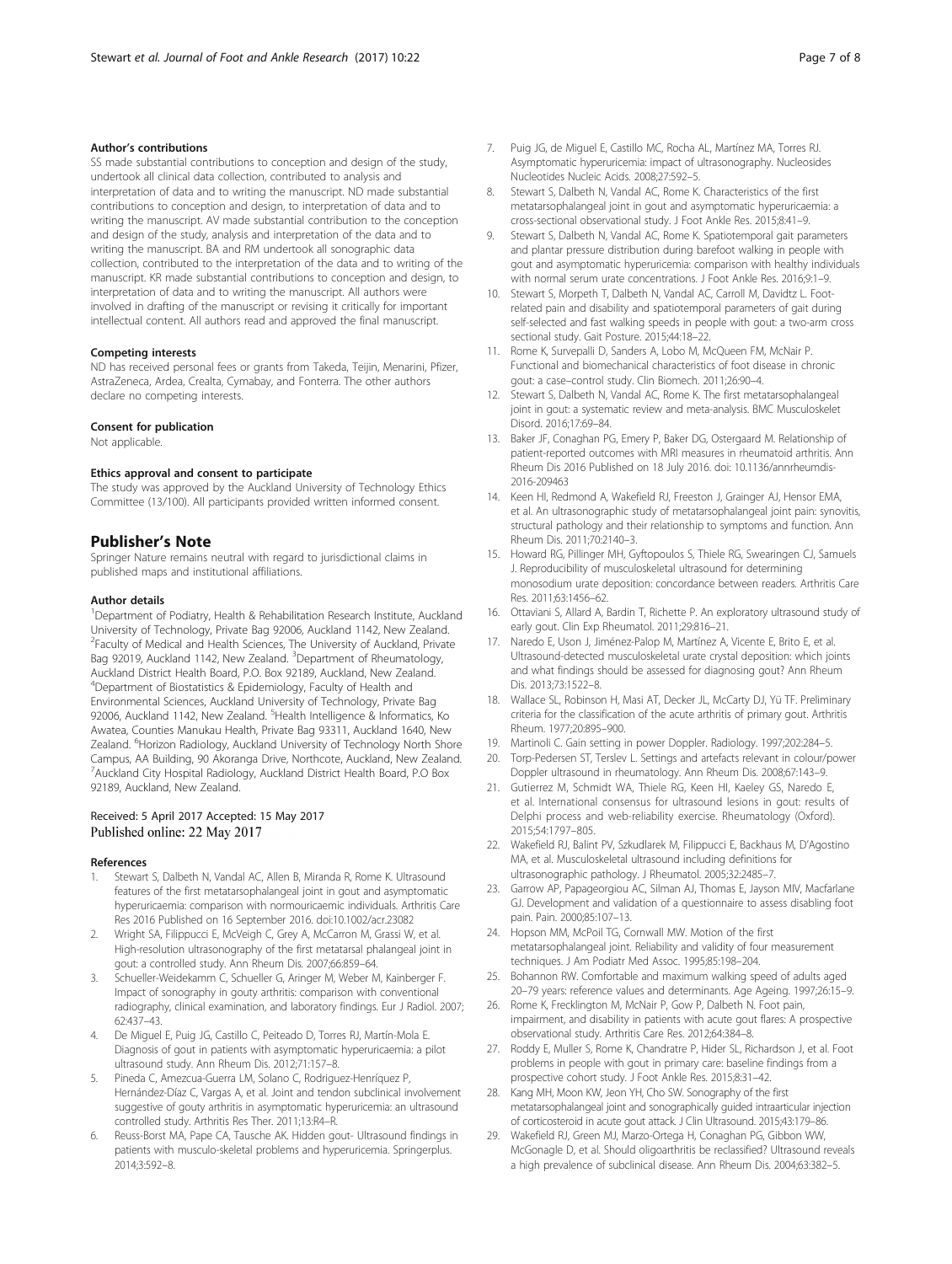#### <span id="page-6-0"></span>Author's contributions

SS made substantial contributions to conception and design of the study, undertook all clinical data collection, contributed to analysis and interpretation of data and to writing the manuscript. ND made substantial contributions to conception and design, to interpretation of data and to writing the manuscript. AV made substantial contribution to the conception and design of the study, analysis and interpretation of the data and to writing the manuscript. BA and RM undertook all sonographic data collection, contributed to the interpretation of the data and to writing of the manuscript. KR made substantial contributions to conception and design, to interpretation of data and to writing the manuscript. All authors were involved in drafting of the manuscript or revising it critically for important intellectual content. All authors read and approved the final manuscript.

#### Competing interests

ND has received personal fees or grants from Takeda, Teijin, Menarini, Pfizer, AstraZeneca, Ardea, Crealta, Cymabay, and Fonterra. The other authors declare no competing interests.

#### Consent for publication

Not applicable.

#### Ethics approval and consent to participate

The study was approved by the Auckland University of Technology Ethics Committee (13/100). All participants provided written informed consent.

#### Publisher's Note

Springer Nature remains neutral with regard to jurisdictional claims in published maps and institutional affiliations.

#### Author details

<sup>1</sup>Department of Podiatry, Health & Rehabilitation Research Institute, Auckland University of Technology, Private Bag 92006, Auckland 1142, New Zealand. <sup>2</sup> Faculty of Medical and Health Sciences, The University of Auckland, Private Bag 92019, Auckland 1142, New Zealand. <sup>3</sup>Department of Rheumatology, Auckland District Health Board, P.O. Box 92189, Auckland, New Zealand. 4 Department of Biostatistics & Epidemiology, Faculty of Health and Environmental Sciences, Auckland University of Technology, Private Bag 92006, Auckland 1142, New Zealand. <sup>5</sup>Health Intelligence & Informatics, Ko Awatea, Counties Manukau Health, Private Bag 93311, Auckland 1640, New Zealand. <sup>6</sup>Horizon Radiology, Auckland University of Technology North Shore Campus, AA Building, 90 Akoranga Drive, Northcote, Auckland, New Zealand. <sup>7</sup> Auckland City Hospital Radiology, Auckland District Health Board, P.O Box 92189, Auckland, New Zealand.

### Received: 5 April 2017 Accepted: 15 May 2017 Published online: 22 May 2017

#### References

- 1. Stewart S, Dalbeth N, Vandal AC, Allen B, Miranda R, Rome K. Ultrasound features of the first metatarsophalangeal joint in gout and asymptomatic hyperuricaemia: comparison with normouricaemic individuals. Arthritis Care Res 2016 Published on 16 September 2016. doi[:10.1002/acr.23082](http://dx.doi.org/10.1002/acr.23082)
- 2. Wright SA, Filippucci E, McVeigh C, Grey A, McCarron M, Grassi W, et al. High-resolution ultrasonography of the first metatarsal phalangeal joint in gout: a controlled study. Ann Rheum Dis. 2007;66:859–64.
- Schueller-Weidekamm C, Schueller G, Aringer M, Weber M, Kainberger F. Impact of sonography in gouty arthritis: comparison with conventional radiography, clinical examination, and laboratory findings. Eur J Radiol. 2007; 62:437–43.
- 4. De Miguel E, Puig JG, Castillo C, Peiteado D, Torres RJ, Martín-Mola E. Diagnosis of gout in patients with asymptomatic hyperuricaemia: a pilot ultrasound study. Ann Rheum Dis. 2012;71:157–8.
- Pineda C, Amezcua-Guerra LM, Solano C, Rodriguez-Henríquez P, Hernández-Díaz C, Vargas A, et al. Joint and tendon subclinical involvement suggestive of gouty arthritis in asymptomatic hyperuricemia: an ultrasound controlled study. Arthritis Res Ther. 2011;13:R4–R.
- 6. Reuss-Borst MA, Pape CA, Tausche AK. Hidden gout- Ultrasound findings in patients with musculo-skeletal problems and hyperuricemia. Springerplus. 2014;3:592–8.
- 7. Puig JG, de Miguel E, Castillo MC, Rocha AL, Martínez MA, Torres RJ. Asymptomatic hyperuricemia: impact of ultrasonography. Nucleosides Nucleotides Nucleic Acids. 2008;27:592–5.
- Stewart S, Dalbeth N, Vandal AC, Rome K. Characteristics of the first metatarsophalangeal joint in gout and asymptomatic hyperuricaemia: a cross-sectional observational study. J Foot Ankle Res. 2015;8:41–9.
- Stewart S, Dalbeth N, Vandal AC, Rome K. Spatiotemporal gait parameters and plantar pressure distribution during barefoot walking in people with gout and asymptomatic hyperuricemia: comparison with healthy individuals with normal serum urate concentrations. J Foot Ankle Res. 2016;9:1-9.
- 10. Stewart S, Morpeth T, Dalbeth N, Vandal AC, Carroll M, Davidtz L. Footrelated pain and disability and spatiotemporal parameters of gait during self-selected and fast walking speeds in people with gout: a two-arm cross sectional study. Gait Posture. 2015;44:18–22.
- 11. Rome K, Survepalli D, Sanders A, Lobo M, McQueen FM, McNair P. Functional and biomechanical characteristics of foot disease in chronic gout: a case–control study. Clin Biomech. 2011;26:90–4.
- 12. Stewart S, Dalbeth N, Vandal AC, Rome K. The first metatarsophalangeal joint in gout: a systematic review and meta-analysis. BMC Musculoskelet Disord. 2016;17:69–84.
- 13. Baker JF, Conaghan PG, Emery P, Baker DG, Ostergaard M. Relationship of patient-reported outcomes with MRI measures in rheumatoid arthritis. Ann Rheum Dis 2016 Published on 18 July 2016. doi: [10.1136/annrheumdis-](http://dx.doi.org/10.1136/annrheumdis-2016-209463)[2016-209463](http://dx.doi.org/10.1136/annrheumdis-2016-209463)
- 14. Keen HI, Redmond A, Wakefield RJ, Freeston J, Grainger AJ, Hensor EMA, et al. An ultrasonographic study of metatarsophalangeal joint pain: synovitis, structural pathology and their relationship to symptoms and function. Ann Rheum Dis. 2011;70:2140–3.
- 15. Howard RG, Pillinger MH, Gyftopoulos S, Thiele RG, Swearingen CJ, Samuels J. Reproducibility of musculoskeletal ultrasound for determining monosodium urate deposition: concordance between readers. Arthritis Care Res. 2011;63:1456–62.
- 16. Ottaviani S, Allard A, Bardin T, Richette P. An exploratory ultrasound study of early gout. Clin Exp Rheumatol. 2011;29:816–21.
- 17. Naredo E, Uson J, Jiménez-Palop M, Martínez A, Vicente E, Brito E, et al. Ultrasound-detected musculoskeletal urate crystal deposition: which joints and what findings should be assessed for diagnosing gout? Ann Rheum Dis. 2013;73:1522–8.
- 18. Wallace SL, Robinson H, Masi AT, Decker JL, McCarty DJ, Yü TF. Preliminary criteria for the classification of the acute arthritis of primary gout. Arthritis Rheum. 1977;20:895–900.
- 19. Martinoli C. Gain setting in power Doppler. Radiology. 1997;202:284–5.
- 20. Torp-Pedersen ST, Terslev L. Settings and artefacts relevant in colour/power Doppler ultrasound in rheumatology. Ann Rheum Dis. 2008;67:143–9.
- 21. Gutierrez M, Schmidt WA, Thiele RG, Keen HI, Kaeley GS, Naredo E, et al. International consensus for ultrasound lesions in gout: results of Delphi process and web-reliability exercise. Rheumatology (Oxford). 2015;54:1797–805.
- 22. Wakefield RJ, Balint PV, Szkudlarek M, Filippucci E, Backhaus M, D'Agostino MA, et al. Musculoskeletal ultrasound including definitions for ultrasonographic pathology. J Rheumatol. 2005;32:2485–7.
- 23. Garrow AP, Papageorgiou AC, Silman AJ, Thomas E, Jayson MIV, Macfarlane GJ. Development and validation of a questionnaire to assess disabling foot pain. Pain. 2000;85:107–13.
- 24. Hopson MM, McPoil TG, Cornwall MW. Motion of the first metatarsophalangeal joint. Reliability and validity of four measurement techniques. J Am Podiatr Med Assoc. 1995;85:198–204.
- 25. Bohannon RW. Comfortable and maximum walking speed of adults aged 20–79 years: reference values and determinants. Age Ageing. 1997;26:15–9.
- 26. Rome K, Frecklington M, McNair P, Gow P, Dalbeth N. Foot pain, impairment, and disability in patients with acute gout flares: A prospective observational study. Arthritis Care Res. 2012;64:384–8.
- 27. Roddy E, Muller S, Rome K, Chandratre P, Hider SL, Richardson J, et al. Foot problems in people with gout in primary care: baseline findings from a prospective cohort study. J Foot Ankle Res. 2015;8:31–42.
- 28. Kang MH, Moon KW, Jeon YH, Cho SW. Sonography of the first metatarsophalangeal joint and sonographically guided intraarticular injection of corticosteroid in acute gout attack. J Clin Ultrasound. 2015;43:179–86.
- 29. Wakefield RJ, Green MJ, Marzo-Ortega H, Conaghan PG, Gibbon WW, McGonagle D, et al. Should oligoarthritis be reclassified? Ultrasound reveals a high prevalence of subclinical disease. Ann Rheum Dis. 2004;63:382–5.